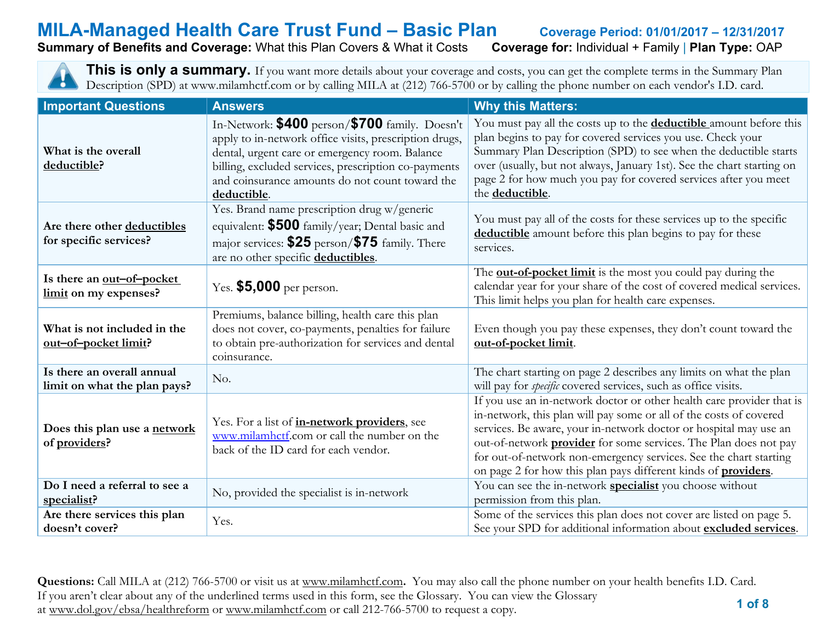# **MILA-Managed Health Care Trust Fund – Basic Plan Coverage Period: 01/01/2017 – 12/31/2017<br>Summary of Benefits and Coverage: What this Plan Covers & What it Costs Coverage for: Individual + Family | Plan Type: OAP**

#### **Summary of Benefits and Coverage: What this Plan Covers & What it Costs**

This is only a summary. If you want more details about your coverage and costs, you can get the complete terms in the Summary Plan Description (SPD) at www.milamhctf.com or by calling MILA at (212) 766-5700 or by calling the phone number on each vendor's I.D. card.

| <b>Important Questions</b>                                 | <b>Answers</b>                                                                                                                                                                                                                                                                       | <b>Why this Matters:</b>                                                                                                                                                                                                                                                                                                                                                                                                                   |
|------------------------------------------------------------|--------------------------------------------------------------------------------------------------------------------------------------------------------------------------------------------------------------------------------------------------------------------------------------|--------------------------------------------------------------------------------------------------------------------------------------------------------------------------------------------------------------------------------------------------------------------------------------------------------------------------------------------------------------------------------------------------------------------------------------------|
| What is the overall<br>deductible?                         | In-Network: \$400 person/\$700 family. Doesn't<br>apply to in-network office visits, prescription drugs,<br>dental, urgent care or emergency room. Balance<br>billing, excluded services, prescription co-payments<br>and coinsurance amounts do not count toward the<br>deductible. | You must pay all the costs up to the <b>deductible</b> amount before this<br>plan begins to pay for covered services you use. Check your<br>Summary Plan Description (SPD) to see when the deductible starts<br>over (usually, but not always, January 1st). See the chart starting on<br>page 2 for how much you pay for covered services after you meet<br>the deductible.                                                               |
| Are there other deductibles<br>for specific services?      | Yes. Brand name prescription drug w/generic<br>equivalent: \$500 family/year; Dental basic and<br>major services: \$25 person/\$75 family. There<br>are no other specific deductibles.                                                                                               | You must pay all of the costs for these services up to the specific<br>deductible amount before this plan begins to pay for these<br>services.                                                                                                                                                                                                                                                                                             |
| Is there an out-of-pocket<br>limit on my expenses?         | Yes. $$5,000$ per person.                                                                                                                                                                                                                                                            | The <b>out-of-pocket limit</b> is the most you could pay during the<br>calendar year for your share of the cost of covered medical services.<br>This limit helps you plan for health care expenses.                                                                                                                                                                                                                                        |
| What is not included in the<br>out-of-pocket limit?        | Premiums, balance billing, health care this plan<br>does not cover, co-payments, penalties for failure<br>to obtain pre-authorization for services and dental<br>coinsurance.                                                                                                        | Even though you pay these expenses, they don't count toward the<br>out-of-pocket limit.                                                                                                                                                                                                                                                                                                                                                    |
| Is there an overall annual<br>limit on what the plan pays? | No.                                                                                                                                                                                                                                                                                  | The chart starting on page 2 describes any limits on what the plan<br>will pay for <i>specific</i> covered services, such as office visits.                                                                                                                                                                                                                                                                                                |
| Does this plan use a network<br>of providers?              | Yes. For a list of <i>in-network providers</i> , see<br>www.milamhetf.com or call the number on the<br>back of the ID card for each vendor.                                                                                                                                          | If you use an in-network doctor or other health care provider that is<br>in-network, this plan will pay some or all of the costs of covered<br>services. Be aware, your in-network doctor or hospital may use an<br>out-of-network <b>provider</b> for some services. The Plan does not pay<br>for out-of-network non-emergency services. See the chart starting<br>on page 2 for how this plan pays different kinds of <b>providers</b> . |
| Do I need a referral to see a<br>specialist?               | No, provided the specialist is in-network                                                                                                                                                                                                                                            | You can see the in-network <b>specialist</b> you choose without<br>permission from this plan.                                                                                                                                                                                                                                                                                                                                              |
| Are there services this plan<br>doesn't cover?             | Yes.                                                                                                                                                                                                                                                                                 | Some of the services this plan does not cover are listed on page 5.<br>See your SPD for additional information about excluded services.                                                                                                                                                                                                                                                                                                    |

 **1 of 8 Questions:** Call MILA at (212) 766-5700 or visit us at [www.milamhctf.com](http://www.milamhctf.com/)**.** You may also call the phone number on your health benefits I.D. Card. If you aren't clear about any of the underlined terms used in this form, see the Glossary. You can view the Glossary at [www.dol.gov/ebsa/healthreform](http://www.dol.gov/ebsa/healthreform) or [www.milamhctf.com](http://www.milamhctf.com/) or call 212-766-5700 to request a copy.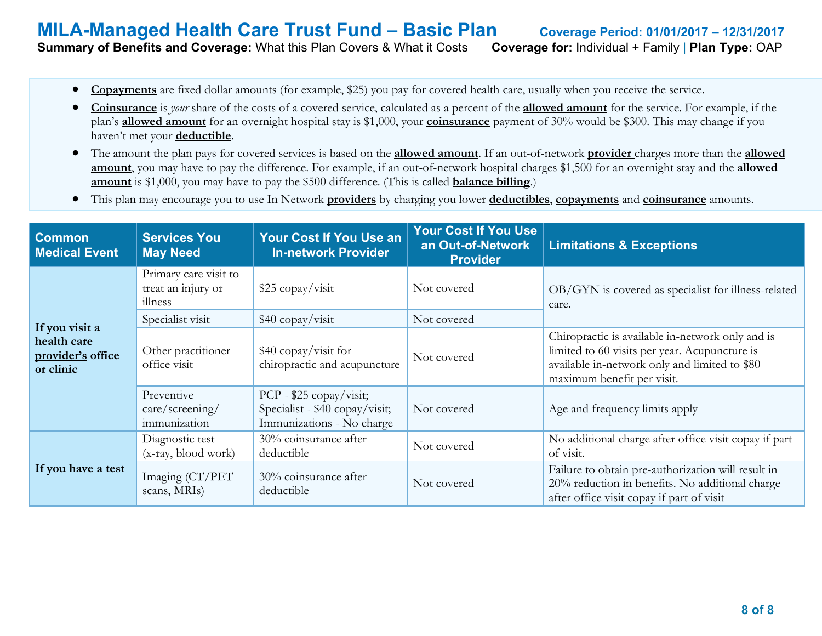#### **MILA-Managed Health Care Trust Fund – Basic Plan Coverage Period: 01/01/2017 – 12/31/2017 Summary of Benefits and Coverage:** What this Plan Covers & What it Costs **Coverage for:** Individual + Family | **Plan Type:** OAP

- **Copayments** are fixed dollar amounts (for example, \$25) you pay for covered health care, usually when you receive the service.
- **Coinsurance** is *your* share of the costs of a covered service, calculated as a percent of the **allowed amount** for the service. For example, if the plan's **allowed amount** for an overnight hospital stay is \$1,000, your **coinsurance** payment of 30% would be \$300. This may change if you haven't met your **deductible**.
- The amount the plan pays for covered services is based on the **allowed amount**. If an out-of-network **provider** charges more than the **allowed amount**, you may have to pay the difference. For example, if an out-of-network hospital charges \$1,500 for an overnight stay and the **allowed amount** is \$1,000, you may have to pay the \$500 difference. (This is called **balance billing**.)
- This plan may encourage you to use In Network **providers** by charging you lower **deductibles**, **copayments** and **coinsurance** amounts.

| <b>Common</b><br><b>Medical Event</b>                           | <b>Services You</b><br><b>May Need</b>                 | <b>Your Cost If You Use an</b><br><b>In-network Provider</b>                           | <b>Your Cost If You Use</b><br>an Out-of-Network<br><b>Provider</b> | <b>Limitations &amp; Exceptions</b>                                                                                                                                              |
|-----------------------------------------------------------------|--------------------------------------------------------|----------------------------------------------------------------------------------------|---------------------------------------------------------------------|----------------------------------------------------------------------------------------------------------------------------------------------------------------------------------|
|                                                                 | Primary care visit to<br>treat an injury or<br>illness | $$25$ copay/visit                                                                      | Not covered                                                         | OB/GYN is covered as specialist for illness-related<br>care.                                                                                                                     |
|                                                                 | Specialist visit                                       | \$40 copay/visit                                                                       | Not covered                                                         |                                                                                                                                                                                  |
| If you visit a<br>health care<br>provider's office<br>or clinic | Other practitioner<br>office visit                     | $$40$ copay/visit for<br>chiropractic and acupuncture                                  | Not covered                                                         | Chiropractic is available in-network only and is<br>limited to 60 visits per year. Acupuncture is<br>available in-network only and limited to \$80<br>maximum benefit per visit. |
|                                                                 | Preventive<br>care/screening/<br>immunization          | PCP - \$25 copay/visit;<br>Specialist - \$40 copay/visit;<br>Immunizations - No charge | Not covered                                                         | Age and frequency limits apply                                                                                                                                                   |
|                                                                 | Diagnostic test<br>(x-ray, blood work)                 | 30% coinsurance after<br>deductible                                                    | Not covered                                                         | No additional charge after office visit copay if part<br>of visit.                                                                                                               |
| If you have a test                                              | Imaging (CT/PET<br>scans, MRIs)                        | 30% coinsurance after<br>deductible                                                    | Not covered                                                         | Failure to obtain pre-authorization will result in<br>20% reduction in benefits. No additional charge<br>after office visit copay if part of visit                               |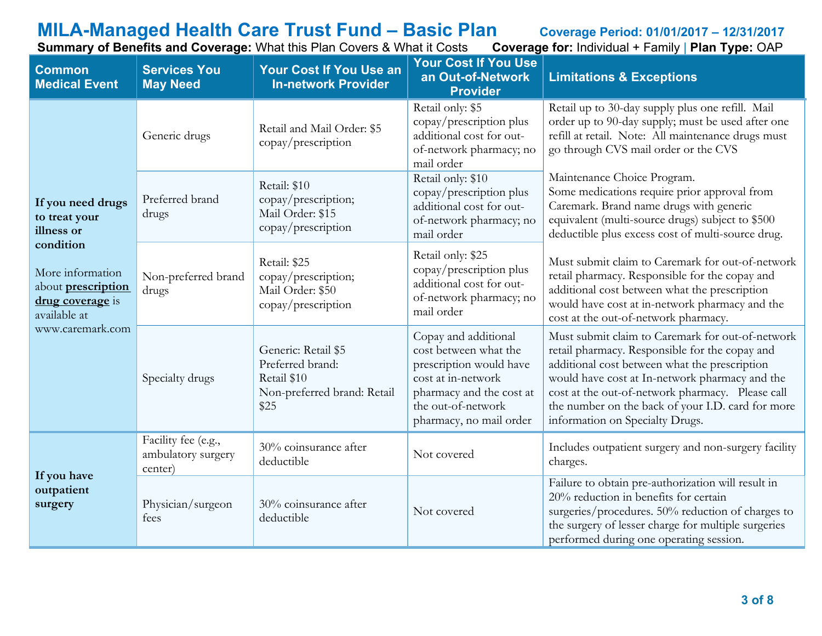# **MILA-Managed Health Care Trust Fund – Basic Plan** Coverage Period: 01/01/2017 – 12/31/2017<br>Summary of Benefits and Coverage: What this Plan Covers & What it Costs Coverage for: Individual + Family | Plan Type: OAP

**Summary of Benefits and Coverage: What this Plan Covers & What it Costs** 

| <b>Common</b><br><b>Medical Event</b>                                                          | <b>Services You</b><br><b>May Need</b>                                                                        | <b>Your Cost If You Use an</b><br><b>In-network Provider</b>                                  | <b>Your Cost If You Use</b><br>an Out-of-Network<br><b>Provider</b>                                                                                                         | <b>Limitations &amp; Exceptions</b>                                                                                                                                                                                                                                                                                                               |
|------------------------------------------------------------------------------------------------|---------------------------------------------------------------------------------------------------------------|-----------------------------------------------------------------------------------------------|-----------------------------------------------------------------------------------------------------------------------------------------------------------------------------|---------------------------------------------------------------------------------------------------------------------------------------------------------------------------------------------------------------------------------------------------------------------------------------------------------------------------------------------------|
|                                                                                                | Generic drugs                                                                                                 | Retail and Mail Order: \$5<br>copay/prescription                                              | Retail only: \$5<br>copay/prescription plus<br>additional cost for out-<br>of-network pharmacy; no<br>mail order                                                            | Retail up to 30-day supply plus one refill. Mail<br>order up to 90-day supply; must be used after one<br>refill at retail. Note: All maintenance drugs must<br>go through CVS mail order or the CVS                                                                                                                                               |
| If you need drugs<br>to treat your<br>illness or                                               | Preferred brand<br>drugs                                                                                      | Retail: \$10<br>copay/prescription;<br>Mail Order: \$15<br>copay/prescription                 | Retail only: \$10<br>copay/prescription plus<br>additional cost for out-<br>of-network pharmacy; no<br>mail order                                                           | Maintenance Choice Program.<br>Some medications require prior approval from<br>Caremark. Brand name drugs with generic<br>equivalent (multi-source drugs) subject to \$500<br>deductible plus excess cost of multi-source drug.                                                                                                                   |
| condition<br>More information<br>about <b>prescription</b><br>drug coverage is<br>available at | Retail: \$25<br>copay/prescription;<br>Non-preferred brand<br>Mail Order: \$50<br>drugs<br>copay/prescription |                                                                                               | Retail only: \$25<br>copay/prescription plus<br>additional cost for out-<br>of-network pharmacy; no<br>mail order                                                           | Must submit claim to Caremark for out-of-network<br>retail pharmacy. Responsible for the copay and<br>additional cost between what the prescription<br>would have cost at in-network pharmacy and the<br>cost at the out-of-network pharmacy.                                                                                                     |
| www.caremark.com                                                                               | Specialty drugs                                                                                               | Generic: Retail \$5<br>Preferred brand:<br>Retail \$10<br>Non-preferred brand: Retail<br>\$25 | Copay and additional<br>cost between what the<br>prescription would have<br>cost at in-network<br>pharmacy and the cost at<br>the out-of-network<br>pharmacy, no mail order | Must submit claim to Caremark for out-of-network<br>retail pharmacy. Responsible for the copay and<br>additional cost between what the prescription<br>would have cost at In-network pharmacy and the<br>cost at the out-of-network pharmacy. Please call<br>the number on the back of your I.D. card for more<br>information on Specialty Drugs. |
| If you have                                                                                    | Facility fee (e.g.,<br>ambulatory surgery<br>center)                                                          | 30% coinsurance after<br>deductible                                                           | Not covered                                                                                                                                                                 | Includes outpatient surgery and non-surgery facility<br>charges.                                                                                                                                                                                                                                                                                  |
| outpatient<br>surgery                                                                          | Physician/surgeon<br>fees                                                                                     | 30% coinsurance after<br>deductible                                                           | Not covered                                                                                                                                                                 | Failure to obtain pre-authorization will result in<br>20% reduction in benefits for certain<br>surgeries/procedures. 50% reduction of charges to<br>the surgery of lesser charge for multiple surgeries<br>performed during one operating session.                                                                                                |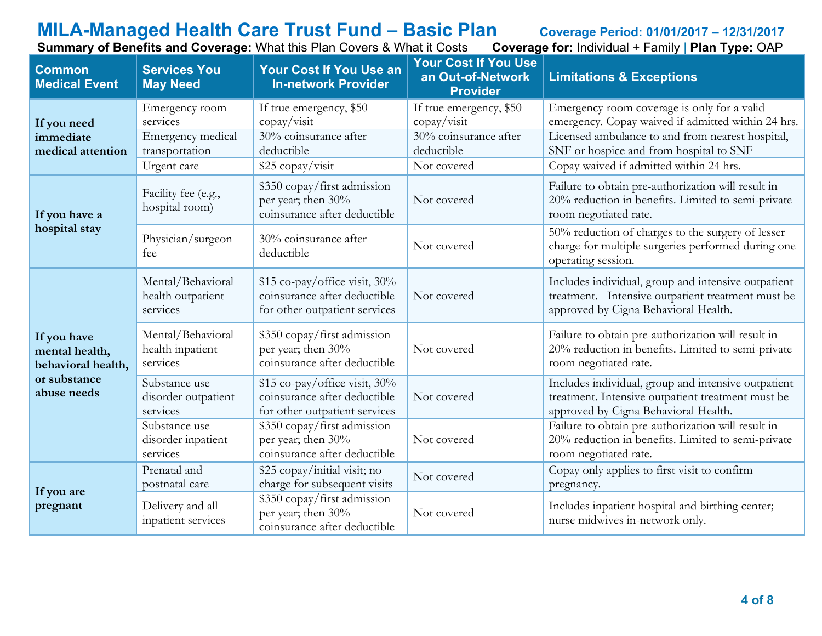|  | Summary of Benefits and Coverage: What this Plan Covers & What it Costs Coverage for: Individual + Family   Plan Type: OAP |  |  |  |  |  |
|--|----------------------------------------------------------------------------------------------------------------------------|--|--|--|--|--|
|  |                                                                                                                            |  |  |  |  |  |

| sts | <b>Coverage for: Individual + Family   Plan Type: OAP</b> |  |  |  |  |
|-----|-----------------------------------------------------------|--|--|--|--|
|-----|-----------------------------------------------------------|--|--|--|--|

| <b>Common</b><br><b>Medical Event</b>               | <b>Services You</b><br><b>May Need</b>                            | <b>Your Cost If You Use an</b><br><b>In-network Provider</b>                                    | Your Cost If You Use<br>an Out-of-Network<br><b>Provider</b>                  | <b>Limitations &amp; Exceptions</b>                                                                                                                                                              |
|-----------------------------------------------------|-------------------------------------------------------------------|-------------------------------------------------------------------------------------------------|-------------------------------------------------------------------------------|--------------------------------------------------------------------------------------------------------------------------------------------------------------------------------------------------|
| If you need<br>immediate<br>medical attention       | Emergency room<br>services<br>Emergency medical<br>transportation | If true emergency, \$50<br>$\text{copy}/\text{visit}$<br>30% coinsurance after<br>deductible    | If true emergency, \$50<br>copay/visit<br>30% coinsurance after<br>deductible | Emergency room coverage is only for a valid<br>emergency. Copay waived if admitted within 24 hrs.<br>Licensed ambulance to and from nearest hospital,<br>SNF or hospice and from hospital to SNF |
|                                                     | Urgent care                                                       | \$25 copay/visit                                                                                | Not covered                                                                   | Copay waived if admitted within 24 hrs.                                                                                                                                                          |
| If you have a                                       | Facility fee (e.g.,<br>hospital room)                             | \$350 copay/first admission<br>per year; then 30%<br>coinsurance after deductible               | Not covered                                                                   | Failure to obtain pre-authorization will result in<br>20% reduction in benefits. Limited to semi-private<br>room negotiated rate.                                                                |
| hospital stay                                       | Physician/surgeon<br>fee                                          | 30% coinsurance after<br>deductible                                                             | Not covered                                                                   | 50% reduction of charges to the surgery of lesser<br>charge for multiple surgeries performed during one<br>operating session.                                                                    |
|                                                     | Mental/Behavioral<br>health outpatient<br>services                | $$15$ co-pay/office visit, 30%<br>coinsurance after deductible<br>for other outpatient services | Not covered                                                                   | Includes individual, group and intensive outpatient<br>treatment. Intensive outpatient treatment must be<br>approved by Cigna Behavioral Health.                                                 |
| If you have<br>mental health,<br>behavioral health, | Mental/Behavioral<br>health inpatient<br>services                 | \$350 copay/first admission<br>per year; then 30%<br>coinsurance after deductible               | Not covered                                                                   | Failure to obtain pre-authorization will result in<br>20% reduction in benefits. Limited to semi-private<br>room negotiated rate.                                                                |
| or substance<br>abuse needs                         | Substance use<br>disorder outpatient<br>services                  | \$15 co-pay/office visit, 30%<br>coinsurance after deductible<br>for other outpatient services  | Not covered                                                                   | Includes individual, group and intensive outpatient<br>treatment. Intensive outpatient treatment must be<br>approved by Cigna Behavioral Health.                                                 |
|                                                     | Substance use<br>disorder inpatient<br>services                   | \$350 copay/first admission<br>per year; then 30%<br>coinsurance after deductible               | Not covered                                                                   | Failure to obtain pre-authorization will result in<br>20% reduction in benefits. Limited to semi-private<br>room negotiated rate.                                                                |
|                                                     | Prenatal and<br>postnatal care                                    | \$25 copay/initial visit; no<br>charge for subsequent visits                                    | Not covered                                                                   | Copay only applies to first visit to confirm<br>pregnancy.                                                                                                                                       |
| If you are<br>pregnant                              | Delivery and all<br>inpatient services                            | \$350 copay/first admission<br>per year; then 30%<br>coinsurance after deductible               | Not covered                                                                   | Includes inpatient hospital and birthing center;<br>nurse midwives in-network only.                                                                                                              |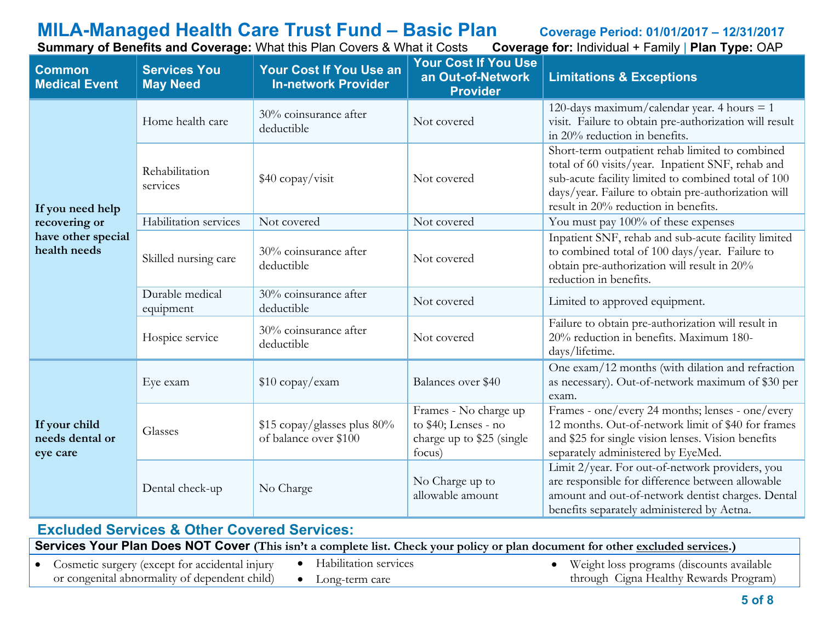#### **MILA-Managed Health Care Trust Fund – Basic Plan** Coverage Period: 01/01/2017 – 12/31/2017<br>Summary of Benefits and Coverage: What this Plan Covers & What it Costs Coverage for: Individual + Family | Plan Type: OAP **Summary of Benefits and Coverage: What this Plan Covers & What it Costs**

| <b>Common</b><br><b>Medical Event</b>        | <b>Services You</b><br><b>May Need</b>                      | Your Cost If You Use an<br><b>In-network Provider</b> | <b>Your Cost If You Use</b><br>an Out-of-Network<br><b>Provider</b>                  | <b>Limitations &amp; Exceptions</b>                                                                                                                                                                                                                        |
|----------------------------------------------|-------------------------------------------------------------|-------------------------------------------------------|--------------------------------------------------------------------------------------|------------------------------------------------------------------------------------------------------------------------------------------------------------------------------------------------------------------------------------------------------------|
|                                              | Home health care                                            | 30% coinsurance after<br>deductible                   | Not covered                                                                          | 120-days maximum/calendar year. 4 hours $= 1$<br>visit. Failure to obtain pre-authorization will result<br>in 20% reduction in benefits.                                                                                                                   |
| If you need help                             | Rehabilitation<br>\$40 copay/visit<br>services              |                                                       | Not covered                                                                          | Short-term outpatient rehab limited to combined<br>total of 60 visits/year. Inpatient SNF, rehab and<br>sub-acute facility limited to combined total of 100<br>days/year. Failure to obtain pre-authorization will<br>result in 20% reduction in benefits. |
| recovering or                                | Habilitation services                                       | Not covered                                           | Not covered                                                                          | You must pay 100% of these expenses                                                                                                                                                                                                                        |
| have other special<br>health needs           | 30% coinsurance after<br>Skilled nursing care<br>deductible |                                                       | Not covered                                                                          | Inpatient SNF, rehab and sub-acute facility limited<br>to combined total of 100 days/year. Failure to<br>obtain pre-authorization will result in 20%<br>reduction in benefits.                                                                             |
|                                              | Durable medical<br>equipment                                | 30% coinsurance after<br>deductible                   | Not covered                                                                          | Limited to approved equipment.                                                                                                                                                                                                                             |
|                                              | Hospice service                                             | 30% coinsurance after<br>deductible                   | Not covered                                                                          | Failure to obtain pre-authorization will result in<br>20% reduction in benefits. Maximum 180-<br>days/lifetime.                                                                                                                                            |
|                                              | Eye exam                                                    | $$10$ copay/exam                                      | Balances over \$40                                                                   | One exam/12 months (with dilation and refraction<br>as necessary). Out-of-network maximum of \$30 per<br>exam.                                                                                                                                             |
| If your child<br>needs dental or<br>eye care | Glasses                                                     | $$15$ copay/glasses plus 80%<br>of balance over \$100 | Frames - No charge up<br>to \$40; Lenses - no<br>charge up to \$25 (single<br>focus) | Frames - one/every 24 months; lenses - one/every<br>12 months. Out-of-network limit of \$40 for frames<br>and \$25 for single vision lenses. Vision benefits<br>separately administered by EyeMed.                                                         |
|                                              | Dental check-up                                             | No Charge                                             | No Charge up to<br>allowable amount                                                  | Limit 2/year. For out-of-network providers, you<br>are responsible for difference between allowable<br>amount and out-of-network dentist charges. Dental<br>benefits separately administered by Aetna.                                                     |

| <b>Excluded Services &amp; Other Covered Services:</b>                                                                          |           |                         |  |                                             |  |  |  |
|---------------------------------------------------------------------------------------------------------------------------------|-----------|-------------------------|--|---------------------------------------------|--|--|--|
| Services Your Plan Does NOT Cover (This isn't a complete list. Check your policy or plan document for other excluded services.) |           |                         |  |                                             |  |  |  |
| • Cosmetic surgery (except for accidental injury                                                                                |           | • Habilitation services |  | • Weight loss programs (discounts available |  |  |  |
| or congenital abnormality of dependent child)                                                                                   | $\bullet$ | Long-term care          |  | through Cigna Healthy Rewards Program)      |  |  |  |

#### **5 of 8**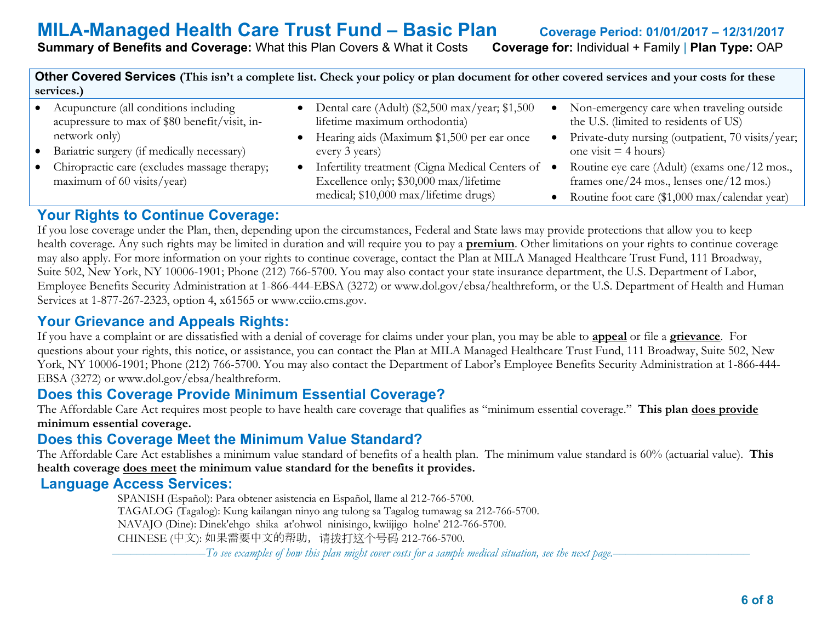**Summary of Benefits and Coverage:** What this Plan Covers & What it Costs **Coverage for:** Individual + Family | **Plan Type:** OAP

**Other Covered Services (This isn't a complete list. Check your policy or plan document for other covered services and your costs for these services.)**

- Acupuncture (all conditions including acupressure to max of \$80 benefit/visit, innetwork only)
- Bariatric surgery (if medically necessary)
- Chiropractic care (excludes massage therapy; maximum of 60 visits/year)
- Dental care (Adult) (\$2,500 max/year; \$1,500 lifetime maximum orthodontia)
- Hearing aids (Maximum \$1,500 per ear once every 3 years)
- Infertility treatment (Cigna Medical Centers of Excellence only; \$30,000 max/lifetime medical; \$10,000 max/lifetime drugs)
- Non-emergency care when traveling outside the U.S. (limited to residents of US)
- Private-duty nursing (outpatient, 70 visits/year; one visit  $=$  4 hours)
- Routine eye care (Adult) (exams one/12 mos., frames one/24 mos., lenses one/12 mos.)
	- Routine foot care (\$1,000 max/calendar year)

#### **Your Rights to Continue Coverage:**

If you lose coverage under the Plan, then, depending upon the circumstances, Federal and State laws may provide protections that allow you to keep health coverage. Any such rights may be limited in duration and will require you to pay a **premium**. Other limitations on your rights to continue coverage may also apply. For more information on your rights to continue coverage, contact the Plan at MILA Managed Healthcare Trust Fund, 111 Broadway, Suite 502, New York, NY 10006-1901; Phone (212) 766-5700. You may also contact your state insurance department, the U.S. Department of Labor, Employee Benefits Security Administration at 1-866-444-EBSA (3272) or www.dol.gov/ebsa/healthreform, or the U.S. Department of Health and Human Services at 1-877-267-2323, option 4, x61565 or www.cciio.cms.gov.

### **Your Grievance and Appeals Rights:**

If you have a complaint or are dissatisfied with a denial of coverage for claims under your plan, you may be able to **appeal** or file a **grievance**. For questions about your rights, this notice, or assistance, you can contact the Plan at MILA Managed Healthcare Trust Fund, 111 Broadway, Suite 502, New York, NY 10006-1901; Phone (212) 766-5700. You may also contact the Department of Labor's Employee Benefits Security Administration at 1-866-444- EBSA (3272) or www.dol.gov/ebsa/healthreform.

### **Does this Coverage Provide Minimum Essential Coverage?**

The Affordable Care Act requires most people to have health care coverage that qualifies as "minimum essential coverage." **This plan does provide minimum essential coverage.** 

### **Does this Coverage Meet the Minimum Value Standard?**

The Affordable Care Act establishes a minimum value standard of benefits of a health plan. The minimum value standard is 60% (actuarial value). **This health coverage does meet the minimum value standard for the benefits it provides.** 

#### **Language Access Services:**

 SPANISH (Español): Para obtener asistencia en Español, llame al 212-766-5700. TAGALOG (Tagalog): Kung kailangan ninyo ang tulong sa Tagalog tumawag sa 212-766-5700. NAVAJO (Dine): Dinek'ehgo shika at'ohwol ninisingo, kwiijigo holne' 212-766-5700. CHINESE (中文): 如果需要中文的帮助,请拨打这个号码 212-766-5700.

–––––––––––––––*To see examples of how this plan might cover costs for a sample medical situation, see the next page.–––––––––––*–––––––––––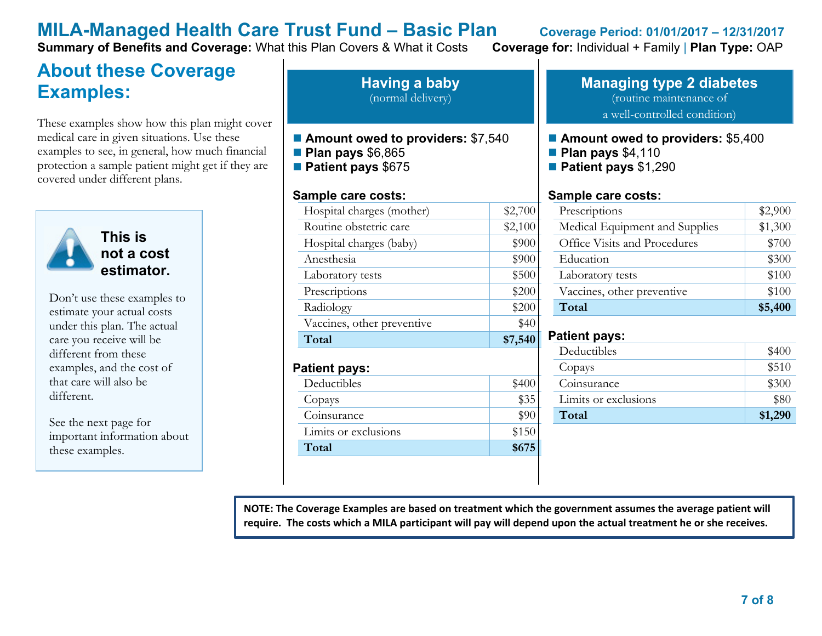**Summary of Benefits and Coverage:** What this Plan Covers & What it Costs **Coverage for:** Individual + Family | **Plan Type:** OAP

### **About these Coverage Examples:**

These examples show how this plan might cover medical care in given situations. Use these examples to see, in general, how much financial protection a sample patient might get if they are covered under different plans.



Don't use these examples to estimate your actual costs under this plan. The actual care you receive will be different from these examples, and the cost of that care will also be different.

See the next page for important information about these examples.

**Having a baby** (normal delivery)

- Amount owed to providers: \$7,540
- **Plan pays** \$6,865
- **Patient pays** \$675

#### **Sample care costs:**

| Hospital charges (mother)  | \$2,700      |
|----------------------------|--------------|
| Routine obstetric care     | \$2,100      |
| Hospital charges (baby)    | \$900        |
| Anesthesia                 | \$900        |
| Laboratory tests           | \$500        |
| Prescriptions              | \$200        |
| Radiology                  | \$200        |
| Vaccines, other preventive | \$40         |
| Total                      | \$7,540      |
| Patient pays:              |              |
|                            |              |
| Deductibles                | \$400        |
| Copays                     |              |
| Coinsurance                | \$35<br>\$90 |
| Limits or exclusions       | \$150        |

#### **Managing type 2 diabetes** (routine maintenance of a well-controlled condition)

#### ■ **Amount owed to providers: \$5,400**

- **Plan pays** \$4,110
- **Patient pays** \$1,290

#### **Sample care costs:**

| Prescriptions                  | \$2,900 |
|--------------------------------|---------|
| Medical Equipment and Supplies | \$1,300 |
| Office Visits and Procedures   | \$700   |
| Education                      | \$300   |
| Laboratory tests               | \$100   |
| Vaccines, other preventive     | \$100   |
| Total                          | \$5,400 |

#### **Patient pays:**

| Deductibles          | \$400   |
|----------------------|---------|
| Copays               | \$510   |
| Coinsurance          | \$300   |
| Limits or exclusions | \$80    |
| Total                | \$1,290 |

**NOTE: The Coverage Examples are based on treatment which the government assumes the average patient will require. The costs which a MILA participant will pay will depend upon the actual treatment he or she receives.**